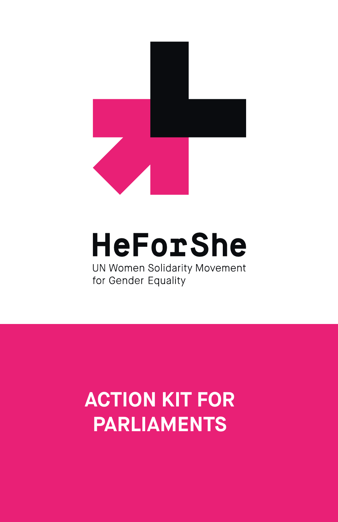

# **HeForShe**

UN Women Solidarity Movement for Gender Equality

# **ACTION KIT FOR PARLIAMENTS**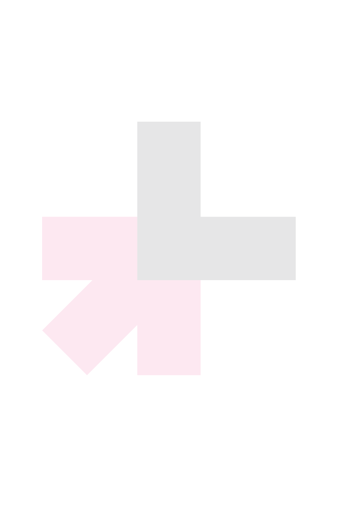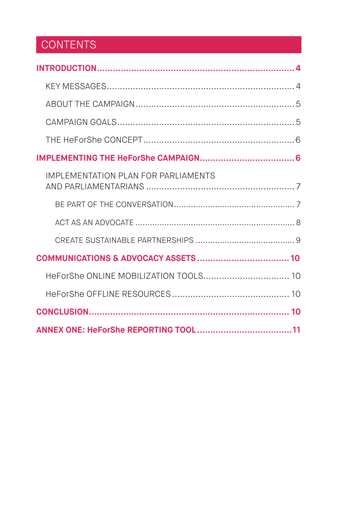# **CONTENTS**

| <b>IMPLEMENTATION PLAN FOR PARLIAMENTS</b> |  |
|--------------------------------------------|--|
|                                            |  |
|                                            |  |
|                                            |  |
|                                            |  |
| HeForShe ONLINE MOBILIZATION TOOLS 10      |  |
|                                            |  |
|                                            |  |
|                                            |  |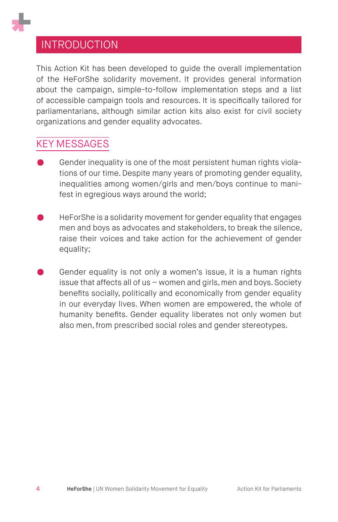# INTRODUCTION

This Action Kit has been developed to guide the overall implementation of the HeForShe solidarity movement. It provides general information about the campaign, simple-to-follow implementation steps and a list of accessible campaign tools and resources. It is specifically tailored for parliamentarians, although similar action kits also exist for civil society organizations and gender equality advocates.

# KEY MESSAGES

- **•** Gender inequality is one of the most persistent human rights violations of our time. Despite many years of promoting gender equality, inequalities among women/girls and men/boys continue to manifest in egregious ways around the world;
- **•** HeForShe is a solidarity movement for gender equality that engages men and boys as advocates and stakeholders, to break the silence, raise their voices and take action for the achievement of gender equality;
- **•** Gender equality is not only a women's issue, it is a human rights issue that affects all of us – women and girls, men and boys. Society benefits socially, politically and economically from gender equality in our everyday lives. When women are empowered, the whole of humanity benefits. Gender equality liberates not only women but also men, from prescribed social roles and gender stereotypes.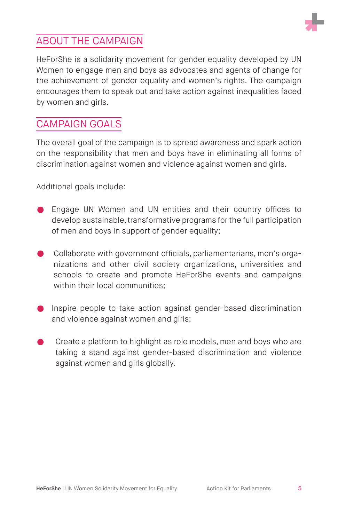

# ABOUT THE CAMPAIGN

HeForShe is a solidarity movement for gender equality developed by UN Women to engage men and boys as advocates and agents of change for the achievement of gender equality and women's rights. The campaign encourages them to speak out and take action against inequalities faced by women and girls.

# CAMPAIGN GOALS

The overall goal of the campaign is to spread awareness and spark action on the responsibility that men and boys have in eliminating all forms of discrimination against women and violence against women and girls.

Additional goals include:

- **•** Engage UN Women and UN entities and their country offices to develop sustainable, transformative programs for the full participation of men and boys in support of gender equality;
- **•** Collaborate with government officials, parliamentarians, men's organizations and other civil society organizations, universities and schools to create and promote HeForShe events and campaigns within their local communities:
- **•** Inspire people to take action against gender-based discrimination and violence against women and girls;
- **•** Create a platform to highlight as role models, men and boys who are taking a stand against gender-based discrimination and violence against women and girls globally.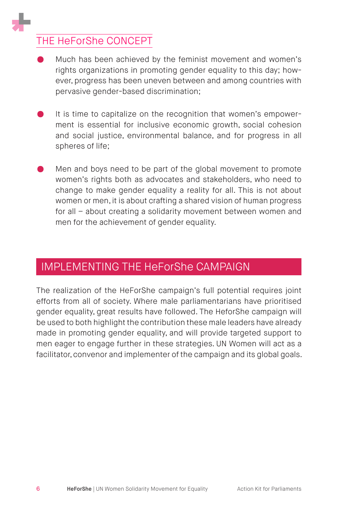# THE HeForShe CONCEPT

- **•** Much has been achieved by the feminist movement and women's rights organizations in promoting gender equality to this day; however, progress has been uneven between and among countries with pervasive gender-based discrimination;
- **•** It is time to capitalize on the recognition that women's empower-ment is essential for inclusive economic growth, social cohesion and social justice, environmental balance, and for progress in all spheres of life;
- **•** Men and boys need to be part of the global movement to promote women's rights both as advocates and stakeholders, who need to change to make gender equality a reality for all. This is not about women or men, it is about crafting a shared vision of human progress for all – about creating a solidarity movement between women and men for the achievement of gender equality.

### IMPLEMENTING THE HeForShe CAMPAIGN

The realization of the HeForShe campaign's full potential requires joint efforts from all of society. Where male parliamentarians have prioritised gender equality, great results have followed. The HeforShe campaign will be used to both highlight the contribution these male leaders have already made in promoting gender equality, and will provide targeted support to men eager to engage further in these strategies. UN Women will act as a facilitator, convenor and implementer of the campaign and its global goals.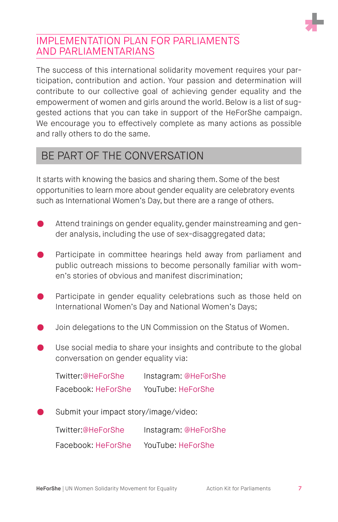

#### IMPLEMENTATION PLAN FOR PARLIAMENTS AND PARLIAMENTARIANS

The success of this international solidarity movement requires your participation, contribution and action. Your passion and determination will contribute to our collective goal of achieving gender equality and the empowerment of women and girls around the world. Below is a list of suggested actions that you can take in support of the HeForShe campaign. We encourage you to effectively complete as many actions as possible and rally others to do the same.

# BE PART OF THE CONVERSATION

It starts with knowing the basics and sharing them. Some of the best opportunities to learn more about gender equality are celebratory events such as International Women's Day, but there are a range of others.

- **•** Attend trainings on gender equality, gender mainstreaming and gender analysis, including the use of sex-disaggregated data;
- **•** Participate in committee hearings held away from parliament and public outreach missions to become personally familiar with women's stories of obvious and manifest discrimination;
- **•** Participate in gender equality celebrations such as those held on International Women's Day and National Women's Days;
- **•** Join delegations to the UN Commission on the Status of Women.
- **•** Use social media to share your insights and contribute to the global conversation on gender equality via:

| Twitter @HeForShe  | Instagram: @HeForShe |
|--------------------|----------------------|
| Facebook: HeForShe | YouTube: HeForShe    |

**•** Submit your impact story/image/video:<br>**Twitter:**@HeForShe lnstagram: @He

Instagram: @HeForShe

Facebook: HeForShe YouTube: HeForShe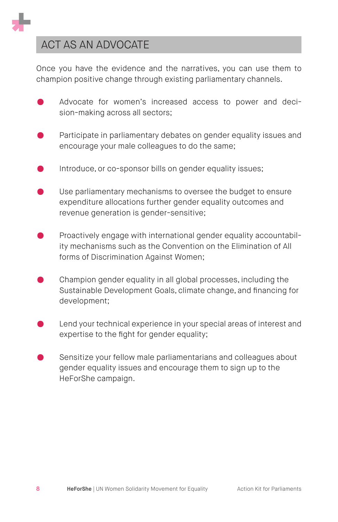

# ACT AS AN ADVOCATE

Once you have the evidence and the narratives, you can use them to champion positive change through existing parliamentary channels.

- **•** Advocate for women's increased access to power and decision-making across all sectors;
- **•** Participate in parliamentary debates on gender equality issues and encourage your male colleagues to do the same;
- **•** Introduce, or co-sponsor bills on gender equality issues;
- **•** Use parliamentary mechanisms to oversee the budget to ensure expenditure allocations further gender equality outcomes and revenue generation is gender-sensitive;
- **•** Proactively engage with international gender equality accountability mechanisms such as the Convention on the Elimination of All forms of Discrimination Against Women;
- **•** Champion gender equality in all global processes, including the<br>Sustainable Development Goals, climate change, and financing for development;
- **•** Lend your technical experience in your special areas of interest and expertise to the fight for gender equality;
- **•** Sensitize your fellow male parliamentarians and colleagues about gender equality issues and encourage them to sign up to the HeForShe campaign.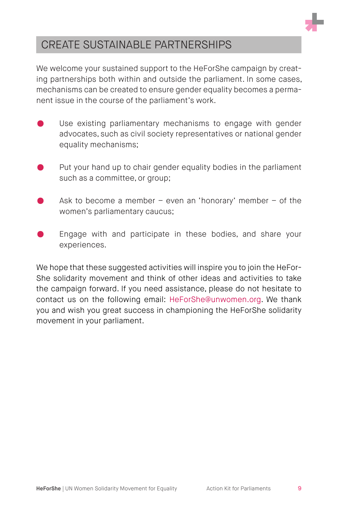

# CREATE SUSTAINABLE PARTNERSHIPS

We welcome your sustained support to the HeForShe campaign by creating partnerships both within and outside the parliament. In some cases, mechanisms can be created to ensure gender equality becomes a permanent issue in the course of the parliament's work.

- **•** Use existing parliamentary mechanisms to engage with gender advocates, such as civil society representatives or national gender equality mechanisms;
- **•** Put your hand up to chair gender equality bodies in the parliament such as a committee, or group;
- **•** Ask to become a member even an 'honorary' member of the women's parliamentary caucus;
- **•** Engage with and participate in these bodies, and share your experiences.

We hope that these suggested activities will inspire you to join the HeFor-She solidarity movement and think of other ideas and activities to take the campaign forward. If you need assistance, please do not hesitate to contact us on the following email: HeForShe@unwomen.org. We thank you and wish you great success in championing the HeForShe solidarity movement in your parliament.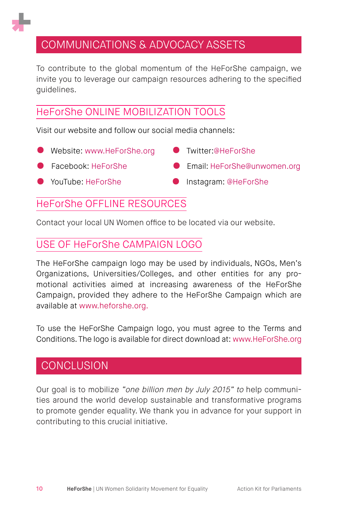

# COMMUNICATIONS & ADVOCACY ASSETS

To contribute to the global momentum of the HeForShe campaign, we invite you to leverage our campaign resources adhering to the specified guidelines.

#### HeForShe ONLINE MOBILIZATION TOOLS

Visit our website and follow our social media channels:

- Website: [www.HeForShe.org](http://www.HeForShe.org)  Twitter:@HeForShe<br>● Facebook: HeForShe ● Fmail: HeForShe@u
- 
- 
- Facebook: HeForShe Email: HeForShe@unwomen.org
- **YouTube: HeForShe**
- 

### HeForShe OFFLINE RESOURCES

Contact your local UN Women office to be located via our [website.](http://www.unwomen.org)

#### USE OF HeForShe CAMPAIGN LOGO

The HeForShe campaign logo may be used by individuals, NGOs, Men's Organizations, Universities/Colleges, and other entities for any promotional activities aimed at increasing awareness of the HeForShe Campaign, provided they adhere to the HeForShe Campaign which are available at [www.heforshe.org](http://www.heforshe.org).

To use the HeForShe Campaign logo, you must agree to the Terms and Conditions. The logo is available for direct download at: www.HeForShe.org

# **CONCLUSION**

Our goal is to mobilize "one billion men by July 2015" to help communities around the world develop sustainable and transformative programs to promote gender equality. We thank you in advance for your support in contributing to this crucial initiative.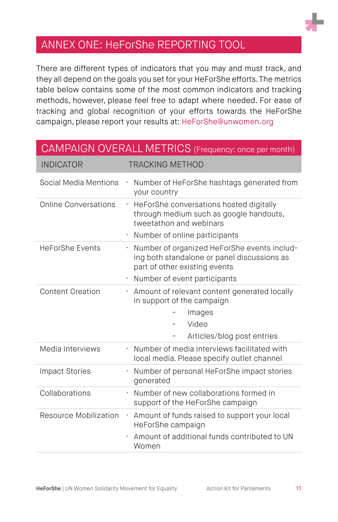

# ANNEX ONE: HeForShe REPORTING TOOL

There are different types of indicators that you may and must track, and they all depend on the goals you set for your HeForShe efforts. The metrics table below contains some of the most common indicators and tracking methods, however, please feel free to adapt where needed. For ease of tracking and global recognition of your efforts towards the HeForShe campaign, please report your results at: HeForShe@unwomen.org

|                         | CAMPAIGN OVERALL METRICS (Frequency: once per month)                                                                                                                  |
|-------------------------|-----------------------------------------------------------------------------------------------------------------------------------------------------------------------|
| <b>INDICATOR</b>        | <b>TRACKING METHOD</b>                                                                                                                                                |
| Social Media Mentions   | Number of HeForShe hashtags generated from<br>ł,<br>your country                                                                                                      |
| Online Conversations    | · HeForShe conversations hosted digitally<br>through medium such as google handouts,<br>tweetathon and webinars<br>Number of online participants                      |
| <b>HeForShe Events</b>  | Number of organized HeForShe events includ-<br>٠<br>ing both standalone or panel discussions as<br>part of other existing events<br>Number of event participants<br>٠ |
| <b>Content Creation</b> | Amount of relevant content generated locally<br>٠<br>in support of the campaign<br>Images<br>Video<br>$\overline{\phantom{a}}$<br>Articles/blog post entries          |
| Media Interviews        | Number of media interviews facilitated with<br>local media. Please specify outlet channel                                                                             |
| <b>Impact Stories</b>   | Number of personal HeForShe impact stories<br>٠<br>generated                                                                                                          |
| Collaborations          | Number of new collaborations formed in<br>support of the HeForShe campaign                                                                                            |
| Resource Mobilization   | Amount of funds raised to support your local<br>HeForShe campaign<br>Amount of additional funds contributed to UN<br>Women                                            |